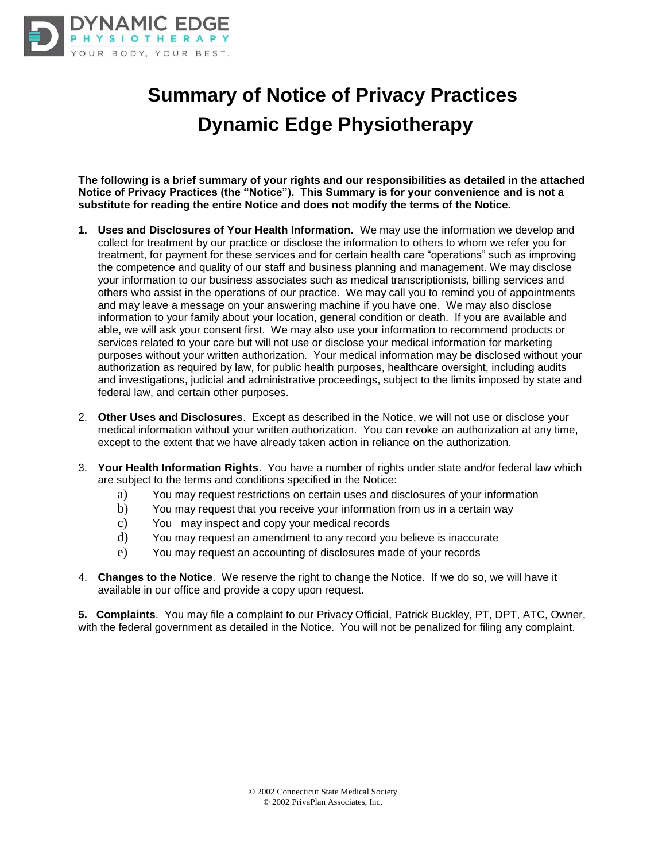

# **Summary of Notice of Privacy Practices Dynamic Edge Physiotherapy**

**The following is a brief summary of your rights and our responsibilities as detailed in the attached Notice of Privacy Practices (the "Notice"). This Summary is for your convenience and is not a substitute for reading the entire Notice and does not modify the terms of the Notice.**

- **1. Uses and Disclosures of Your Health Information.** We may use the information we develop and collect for treatment by our practice or disclose the information to others to whom we refer you for treatment, for payment for these services and for certain health care "operations" such as improving the competence and quality of our staff and business planning and management. We may disclose your information to our business associates such as medical transcriptionists, billing services and others who assist in the operations of our practice. We may call you to remind you of appointments and may leave a message on your answering machine if you have one. We may also disclose information to your family about your location, general condition or death. If you are available and able, we will ask your consent first. We may also use your information to recommend products or services related to your care but will not use or disclose your medical information for marketing purposes without your written authorization. Your medical information may be disclosed without your authorization as required by law, for public health purposes, healthcare oversight, including audits and investigations, judicial and administrative proceedings, subject to the limits imposed by state and federal law, and certain other purposes.
- 2. **Other Uses and Disclosures**. Except as described in the Notice, we will not use or disclose your medical information without your written authorization. You can revoke an authorization at any time, except to the extent that we have already taken action in reliance on the authorization.
- 3. **Your Health Information Rights**. You have a number of rights under state and/or federal law which are subject to the terms and conditions specified in the Notice:
	- a) You may request restrictions on certain uses and disclosures of your information
	- b) You may request that you receive your information from us in a certain way
	- c) You may inspect and copy your medical records
	- d) You may request an amendment to any record you believe is inaccurate
	- e) You may request an accounting of disclosures made of your records
- 4. **Changes to the Notice**. We reserve the right to change the Notice. If we do so, we will have it available in our office and provide a copy upon request.

**5. Complaints**. You may file a complaint to our Privacy Official, Patrick Buckley, PT, DPT, ATC, Owner, with the federal government as detailed in the Notice. You will not be penalized for filing any complaint.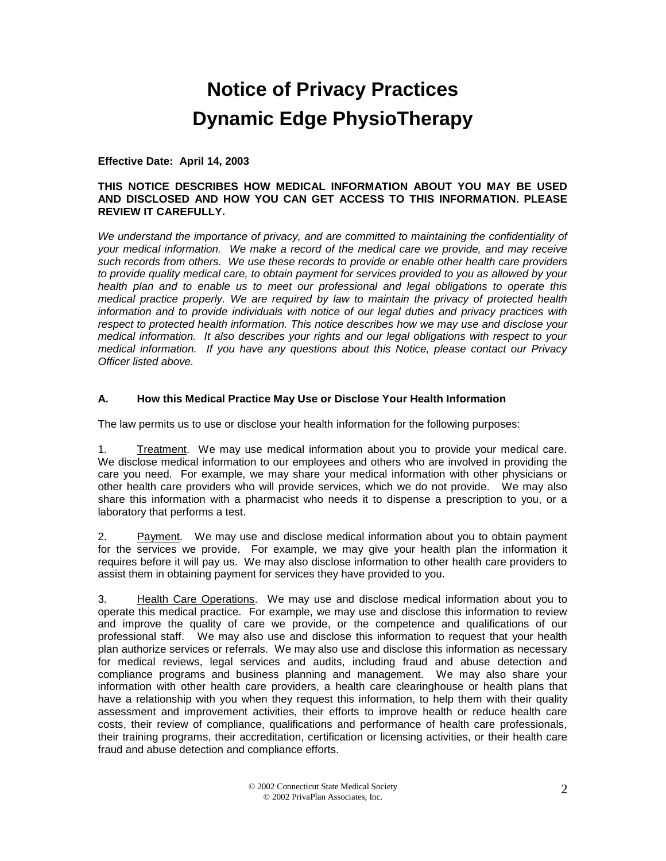# **Notice of Privacy Practices Dynamic Edge PhysioTherapy**

#### **Effective Date: April 14, 2003**

#### **THIS NOTICE DESCRIBES HOW MEDICAL INFORMATION ABOUT YOU MAY BE USED AND DISCLOSED AND HOW YOU CAN GET ACCESS TO THIS INFORMATION. PLEASE REVIEW IT CAREFULLY.**

*We understand the importance of privacy, and are committed to maintaining the confidentiality of your medical information. We make a record of the medical care we provide, and may receive such records from others. We use these records to provide or enable other health care providers to provide quality medical care, to obtain payment for services provided to you as allowed by your health plan and to enable us to meet our professional and legal obligations to operate this medical practice properly. We are required by law to maintain the privacy of protected health information and to provide individuals with notice of our legal duties and privacy practices with respect to protected health information. This notice describes how we may use and disclose your medical information. It also describes your rights and our legal obligations with respect to your medical information. If you have any questions about this Notice, please contact our Privacy Officer listed above.*

#### **A. How this Medical Practice May Use or Disclose Your Health Information**

The law permits us to use or disclose your health information for the following purposes:

1. Treatment. We may use medical information about you to provide your medical care. We disclose medical information to our employees and others who are involved in providing the care you need. For example, we may share your medical information with other physicians or other health care providers who will provide services, which we do not provide. We may also share this information with a pharmacist who needs it to dispense a prescription to you, or a laboratory that performs a test.

2. Payment. We may use and disclose medical information about you to obtain payment for the services we provide. For example, we may give your health plan the information it requires before it will pay us. We may also disclose information to other health care providers to assist them in obtaining payment for services they have provided to you.

3. Health Care Operations. We may use and disclose medical information about you to operate this medical practice. For example, we may use and disclose this information to review and improve the quality of care we provide, or the competence and qualifications of our professional staff. We may also use and disclose this information to request that your health plan authorize services or referrals. We may also use and disclose this information as necessary for medical reviews, legal services and audits, including fraud and abuse detection and compliance programs and business planning and management. We may also share your information with other health care providers, a health care clearinghouse or health plans that have a relationship with you when they request this information, to help them with their quality assessment and improvement activities, their efforts to improve health or reduce health care costs, their review of compliance, qualifications and performance of health care professionals, their training programs, their accreditation, certification or licensing activities, or their health care fraud and abuse detection and compliance efforts.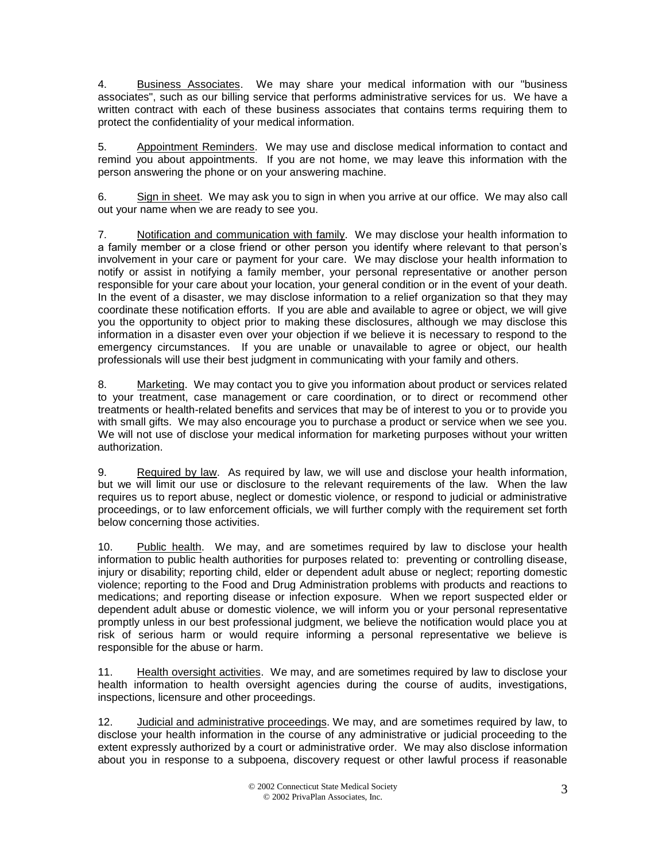4. Business Associates. We may share your medical information with our "business associates", such as our billing service that performs administrative services for us. We have a written contract with each of these business associates that contains terms requiring them to protect the confidentiality of your medical information.

5. Appointment Reminders. We may use and disclose medical information to contact and remind you about appointments. If you are not home, we may leave this information with the person answering the phone or on your answering machine.

6. Sign in sheet. We may ask you to sign in when you arrive at our office. We may also call out your name when we are ready to see you.

7. Notification and communication with family. We may disclose your health information to a family member or a close friend or other person you identify where relevant to that person's involvement in your care or payment for your care. We may disclose your health information to notify or assist in notifying a family member, your personal representative or another person responsible for your care about your location, your general condition or in the event of your death. In the event of a disaster, we may disclose information to a relief organization so that they may coordinate these notification efforts. If you are able and available to agree or object, we will give you the opportunity to object prior to making these disclosures, although we may disclose this information in a disaster even over your objection if we believe it is necessary to respond to the emergency circumstances. If you are unable or unavailable to agree or object, our health professionals will use their best judgment in communicating with your family and others.

8. Marketing. We may contact you to give you information about product or services related to your treatment, case management or care coordination, or to direct or recommend other treatments or health-related benefits and services that may be of interest to you or to provide you with small gifts. We may also encourage you to purchase a product or service when we see you. We will not use of disclose your medical information for marketing purposes without your written authorization.

9. Required by law. As required by law, we will use and disclose your health information, but we will limit our use or disclosure to the relevant requirements of the law. When the law requires us to report abuse, neglect or domestic violence, or respond to judicial or administrative proceedings, or to law enforcement officials, we will further comply with the requirement set forth below concerning those activities.

10. Public health. We may, and are sometimes required by law to disclose your health information to public health authorities for purposes related to: preventing or controlling disease, injury or disability; reporting child, elder or dependent adult abuse or neglect; reporting domestic violence; reporting to the Food and Drug Administration problems with products and reactions to medications; and reporting disease or infection exposure. When we report suspected elder or dependent adult abuse or domestic violence, we will inform you or your personal representative promptly unless in our best professional judgment, we believe the notification would place you at risk of serious harm or would require informing a personal representative we believe is responsible for the abuse or harm.

11. Health oversight activities. We may, and are sometimes required by law to disclose your health information to health oversight agencies during the course of audits, investigations, inspections, licensure and other proceedings.

12. Judicial and administrative proceedings. We may, and are sometimes required by law, to disclose your health information in the course of any administrative or judicial proceeding to the extent expressly authorized by a court or administrative order. We may also disclose information about you in response to a subpoena, discovery request or other lawful process if reasonable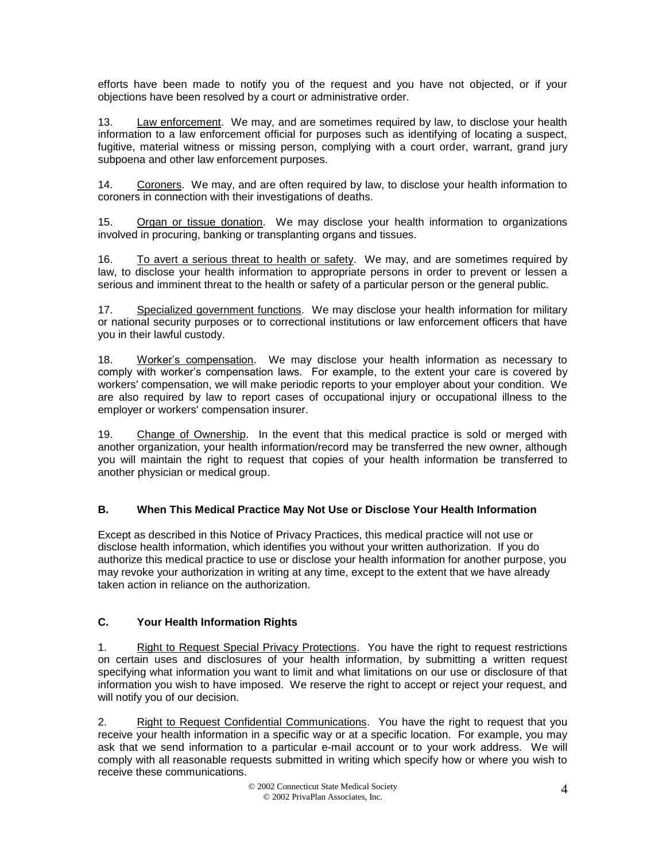efforts have been made to notify you of the request and you have not objected, or if your objections have been resolved by a court or administrative order.

13. Law enforcement. We may, and are sometimes required by law, to disclose your health information to a law enforcement official for purposes such as identifying of locating a suspect, fugitive, material witness or missing person, complying with a court order, warrant, grand jury subpoena and other law enforcement purposes.

14. Coroners. We may, and are often required by law, to disclose your health information to coroners in connection with their investigations of deaths.

15. Organ or tissue donation. We may disclose your health information to organizations involved in procuring, banking or transplanting organs and tissues.

16. To avert a serious threat to health or safety. We may, and are sometimes required by law, to disclose your health information to appropriate persons in order to prevent or lessen a serious and imminent threat to the health or safety of a particular person or the general public.

17. Specialized government functions. We may disclose your health information for military or national security purposes or to correctional institutions or law enforcement officers that have you in their lawful custody.

18. Worker's compensation. We may disclose your health information as necessary to comply with worker's compensation laws. For example, to the extent your care is covered by workers' compensation, we will make periodic reports to your employer about your condition. We are also required by law to report cases of occupational injury or occupational illness to the employer or workers' compensation insurer.

19. Change of Ownership. In the event that this medical practice is sold or merged with another organization, your health information/record may be transferred the new owner, although you will maintain the right to request that copies of your health information be transferred to another physician or medical group.

#### **B. When This Medical Practice May Not Use or Disclose Your Health Information**

Except as described in this Notice of Privacy Practices, this medical practice will not use or disclose health information, which identifies you without your written authorization. If you do authorize this medical practice to use or disclose your health information for another purpose, you may revoke your authorization in writing at any time, except to the extent that we have already taken action in reliance on the authorization.

#### **C. Your Health Information Rights**

1. Right to Request Special Privacy Protections. You have the right to request restrictions on certain uses and disclosures of your health information, by submitting a written request specifying what information you want to limit and what limitations on our use or disclosure of that information you wish to have imposed. We reserve the right to accept or reject your request, and will notify you of our decision.

2. Right to Request Confidential Communications. You have the right to request that you receive your health information in a specific way or at a specific location. For example, you may ask that we send information to a particular e-mail account or to your work address. We will comply with all reasonable requests submitted in writing which specify how or where you wish to receive these communications.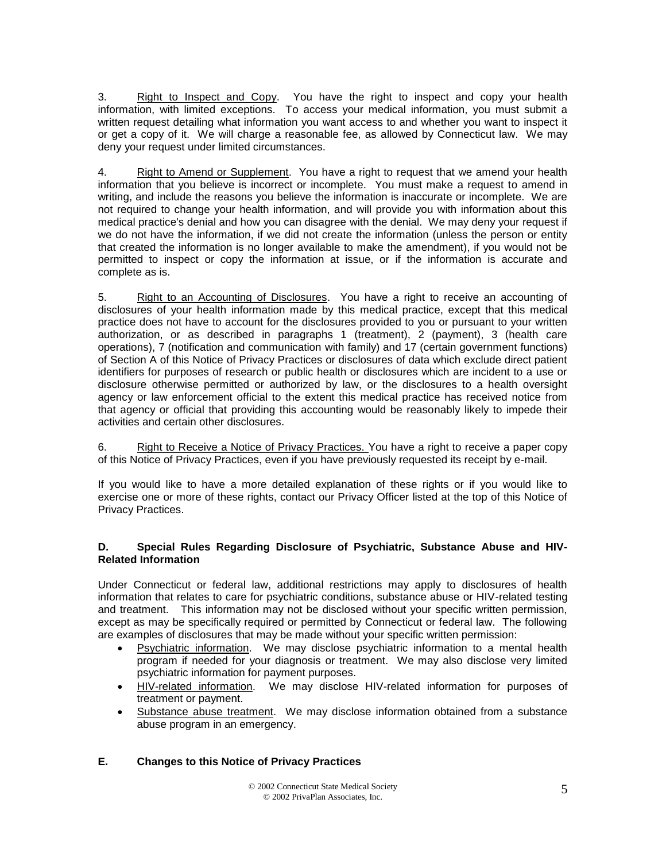3. Right to Inspect and Copy. You have the right to inspect and copy your health information, with limited exceptions. To access your medical information, you must submit a written request detailing what information you want access to and whether you want to inspect it or get a copy of it. We will charge a reasonable fee, as allowed by Connecticut law. We may deny your request under limited circumstances.

4. Right to Amend or Supplement. You have a right to request that we amend your health information that you believe is incorrect or incomplete. You must make a request to amend in writing, and include the reasons you believe the information is inaccurate or incomplete. We are not required to change your health information, and will provide you with information about this medical practice's denial and how you can disagree with the denial. We may deny your request if we do not have the information, if we did not create the information (unless the person or entity that created the information is no longer available to make the amendment), if you would not be permitted to inspect or copy the information at issue, or if the information is accurate and complete as is.

5. Right to an Accounting of Disclosures. You have a right to receive an accounting of disclosures of your health information made by this medical practice, except that this medical practice does not have to account for the disclosures provided to you or pursuant to your written authorization, or as described in paragraphs 1 (treatment), 2 (payment), 3 (health care operations), 7 (notification and communication with family) and 17 (certain government functions) of Section A of this Notice of Privacy Practices or disclosures of data which exclude direct patient identifiers for purposes of research or public health or disclosures which are incident to a use or disclosure otherwise permitted or authorized by law, or the disclosures to a health oversight agency or law enforcement official to the extent this medical practice has received notice from that agency or official that providing this accounting would be reasonably likely to impede their activities and certain other disclosures.

6. Right to Receive a Notice of Privacy Practices. You have a right to receive a paper copy of this Notice of Privacy Practices, even if you have previously requested its receipt by e-mail.

If you would like to have a more detailed explanation of these rights or if you would like to exercise one or more of these rights, contact our Privacy Officer listed at the top of this Notice of Privacy Practices.

#### **D. Special Rules Regarding Disclosure of Psychiatric, Substance Abuse and HIV-Related Information**

Under Connecticut or federal law, additional restrictions may apply to disclosures of health information that relates to care for psychiatric conditions, substance abuse or HIV-related testing and treatment. This information may not be disclosed without your specific written permission, except as may be specifically required or permitted by Connecticut or federal law. The following are examples of disclosures that may be made without your specific written permission:

- Psychiatric information. We may disclose psychiatric information to a mental health program if needed for your diagnosis or treatment. We may also disclose very limited psychiatric information for payment purposes.
- HIV-related information. We may disclose HIV-related information for purposes of treatment or payment.
- Substance abuse treatment. We may disclose information obtained from a substance abuse program in an emergency.

### **E. Changes to this Notice of Privacy Practices**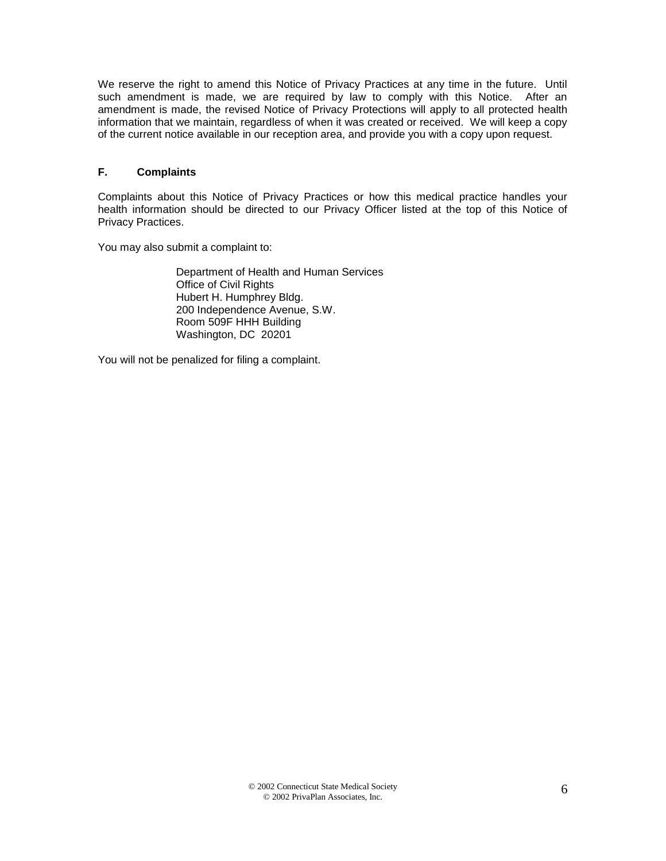We reserve the right to amend this Notice of Privacy Practices at any time in the future. Until such amendment is made, we are required by law to comply with this Notice. After an amendment is made, the revised Notice of Privacy Protections will apply to all protected health information that we maintain, regardless of when it was created or received. We will keep a copy of the current notice available in our reception area, and provide you with a copy upon request.

#### **F. Complaints**

Complaints about this Notice of Privacy Practices or how this medical practice handles your health information should be directed to our Privacy Officer listed at the top of this Notice of Privacy Practices.

You may also submit a complaint to:

Department of Health and Human Services Office of Civil Rights Hubert H. Humphrey Bldg. 200 Independence Avenue, S.W. Room 509F HHH Building Washington, DC 20201

You will not be penalized for filing a complaint.